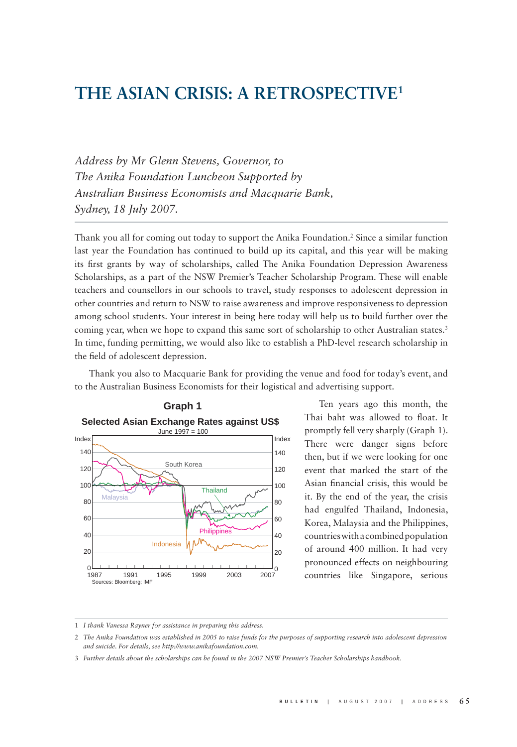# **THE ASIAN CRISIS: A RETROSPECTIVE1**

*Address by Mr Glenn Stevens, Governor, to The Anika Foundation Luncheon Supported by Australian Business Economists and Macquarie Bank, Sydney, 18 July 2007.*

Thank you all for coming out today to support the Anika Foundation.2 Since a similar function last year the Foundation has continued to build up its capital, and this year will be making its first grants by way of scholarships, called The Anika Foundation Depression Awareness Scholarships, as a part of the NSW Premier's Teacher Scholarship Program. These will enable teachers and counsellors in our schools to travel, study responses to adolescent depression in other countries and return to NSW to raise awareness and improve responsiveness to depression among school students. Your interest in being here today will help us to build further over the coming year, when we hope to expand this same sort of scholarship to other Australian states.<sup>3</sup> In time, funding permitting, we would also like to establish a PhD-level research scholarship in the field of adolescent depression.

Thank you also to Macquarie Bank for providing the venue and food for today's event, and to the Australian Business Economists for their logistical and advertising support.



Ten years ago this month, the Thai baht was allowed to float. It promptly fell very sharply (Graph 1). There were danger signs before then, but if we were looking for one event that marked the start of the Asian financial crisis, this would be it. By the end of the year, the crisis had engulfed Thailand, Indonesia, Korea, Malaysia and the Philippines, countries with a combined population of around 400 million. It had very pronounced effects on neighbouring countries like Singapore, serious

<sup>1</sup> *I thank Vanessa Rayner for assistance in preparing this address.*

<sup>2</sup> *The Anika Foundation was established in 2005 to raise funds for the purposes of supporting research into adolescent depression and suicide. For details, see http://www.anikafoundation.com.*

<sup>3</sup> *Further details about the scholarships can be found in the 2007 NSW Premier's Teacher Scholarships handbook.*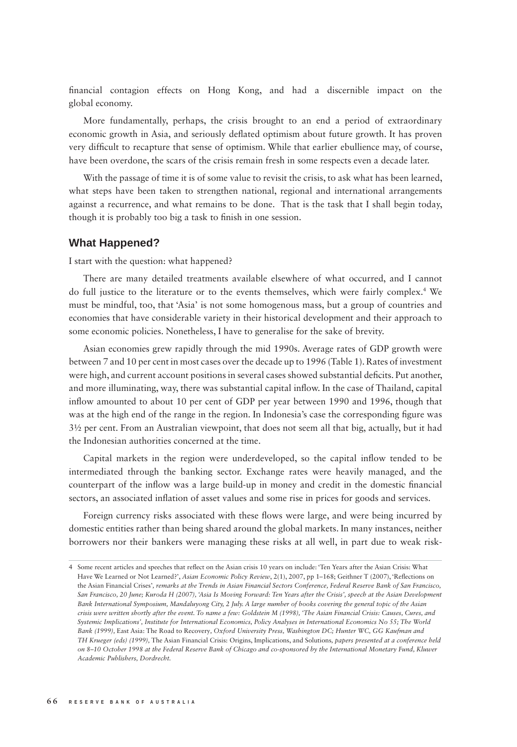financial contagion effects on Hong Kong, and had a discernible impact on the global economy.

More fundamentally, perhaps, the crisis brought to an end a period of extraordinary economic growth in Asia, and seriously deflated optimism about future growth. It has proven very difficult to recapture that sense of optimism. While that earlier ebullience may, of course, have been overdone, the scars of the crisis remain fresh in some respects even a decade later.

With the passage of time it is of some value to revisit the crisis, to ask what has been learned, what steps have been taken to strengthen national, regional and international arrangements against a recurrence, and what remains to be done. That is the task that I shall begin today, though it is probably too big a task to finish in one session.

#### **What Happened?**

I start with the question: what happened?

There are many detailed treatments available elsewhere of what occurred, and I cannot do full justice to the literature or to the events themselves, which were fairly complex.4 We must be mindful, too, that 'Asia' is not some homogenous mass, but a group of countries and economies that have considerable variety in their historical development and their approach to some economic policies. Nonetheless, I have to generalise for the sake of brevity.

Asian economies grew rapidly through the mid 1990s. Average rates of GDP growth were between 7 and 10 per cent in most cases over the decade up to 1996 (Table 1). Rates of investment were high, and current account positions in several cases showed substantial deficits. Put another, and more illuminating, way, there was substantial capital inflow. In the case of Thailand, capital inflow amounted to about 10 per cent of GDP per year between 1990 and 1996, though that was at the high end of the range in the region. In Indonesia's case the corresponding figure was 3½ per cent. From an Australian viewpoint, that does not seem all that big, actually, but it had the Indonesian authorities concerned at the time.

Capital markets in the region were underdeveloped, so the capital inflow tended to be intermediated through the banking sector. Exchange rates were heavily managed, and the counterpart of the inflow was a large build-up in money and credit in the domestic financial sectors, an associated inflation of asset values and some rise in prices for goods and services.

Foreign currency risks associated with these flows were large, and were being incurred by domestic entities rather than being shared around the global markets. In many instances, neither borrowers nor their bankers were managing these risks at all well, in part due to weak risk-

<sup>4</sup> Some recent articles and speeches that reflect on the Asian crisis 10 years on include: 'Ten Years after the Asian Crisis: What Have We Learned or Not Learned?', Asian Economic Policy Review, 2(1), 2007, pp 1-168; Geithner T (2007), 'Reflections on the Asian Financial Crises'*, remarks at the Trends in Asian Financial Sectors Conference, Federal Reserve Bank of San Francisco, San Francisco, 20 June; Kuroda H (2007), 'Asia Is Moving Forward: Ten Years after the Crisis', speech at the Asian Development Bank International Symposium, Mandaluyong City, 2 July. A large number of books covering the general topic of the Asian crisis were written shortly after the event. To name a few: Goldstein M (1998), 'The Asian Financial Crisis: Causes, Cures, and Systemic Implications', Institute for International Economics, Policy Analyses in International Economics No 55; The World Bank (1999),* East Asia: The Road to Recovery*, Oxford University Press, Washington DC; Hunter WC, GG Kaufman and TH Krueger (eds) (1999),* The Asian Financial Crisis: Origins, Implications, and Solutions*, papers presented at a conference held on 8–10 October 1998 at the Federal Reserve Bank of Chicago and co-sponsored by the International Monetary Fund, Kluwer Academic Publishers, Dordrecht.*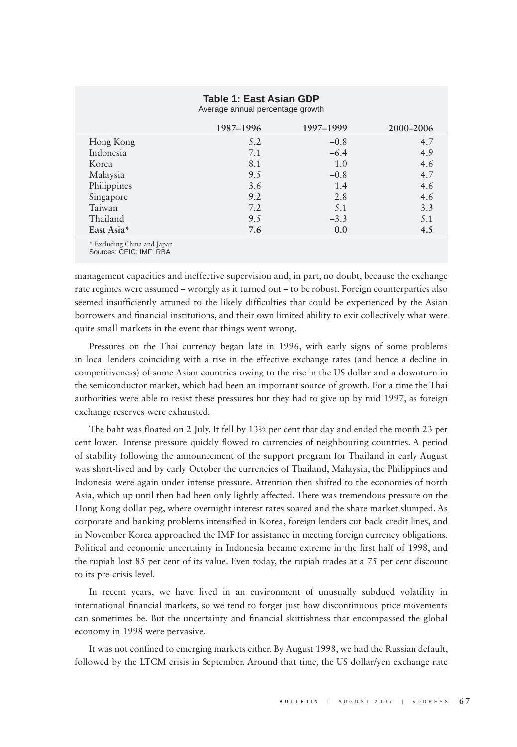### **Table 1: East Asian GDP**

|             | 1987–1996 | 1997-1999 | 2000-2006 |
|-------------|-----------|-----------|-----------|
| Hong Kong   | 5.2       | $-0.8$    | 4.7       |
| Indonesia   | 7.1       | $-6.4$    | 4.9       |
| Korea       | 8.1       | 1.0       | 4.6       |
| Malaysia    | 9.5       | $-0.8$    | 4.7       |
| Philippines | 3.6       | 1.4       | 4.6       |
| Singapore   | 9.2       | 2.8       | 4.6       |
| Taiwan      | 7.2       | 5.1       | 3.3       |
| Thailand    | 9.5       | $-3.3$    | 5.1       |
| East Asia*  | 7.6       | 0.0       | 4.5       |

Average annual percentage growth

\* Excluding China and Japan

Sources: CEIC; IMF; RBA

management capacities and ineffective supervision and, in part, no doubt, because the exchange rate regimes were assumed – wrongly as it turned out – to be robust. Foreign counterparties also seemed insufficiently attuned to the likely difficulties that could be experienced by the Asian borrowers and financial institutions, and their own limited ability to exit collectively what were quite small markets in the event that things went wrong.

Pressures on the Thai currency began late in 1996, with early signs of some problems in local lenders coinciding with a rise in the effective exchange rates (and hence a decline in competitiveness) of some Asian countries owing to the rise in the US dollar and a downturn in the semiconductor market, which had been an important source of growth. For a time the Thai authorities were able to resist these pressures but they had to give up by mid 1997, as foreign exchange reserves were exhausted.

The baht was floated on 2 July. It fell by  $13\frac{1}{2}$  per cent that day and ended the month 23 per cent lower. Intense pressure quickly flowed to currencies of neighbouring countries. A period of stability following the announcement of the support program for Thailand in early August was short-lived and by early October the currencies of Thailand, Malaysia, the Philippines and Indonesia were again under intense pressure. Attention then shifted to the economies of north Asia, which up until then had been only lightly affected. There was tremendous pressure on the Hong Kong dollar peg, where overnight interest rates soared and the share market slumped. As corporate and banking problems intensified in Korea, foreign lenders cut back credit lines, and in November Korea approached the IMF for assistance in meeting foreign currency obligations. Political and economic uncertainty in Indonesia became extreme in the first half of 1998, and the rupiah lost 85 per cent of its value. Even today, the rupiah trades at a 75 per cent discount to its pre-crisis level.

In recent years, we have lived in an environment of unusually subdued volatility in international financial markets, so we tend to forget just how discontinuous price movements can sometimes be. But the uncertainty and financial skittishness that encompassed the global economy in 1998 were pervasive.

It was not confined to emerging markets either. By August 1998, we had the Russian default, followed by the LTCM crisis in September. Around that time, the US dollar/yen exchange rate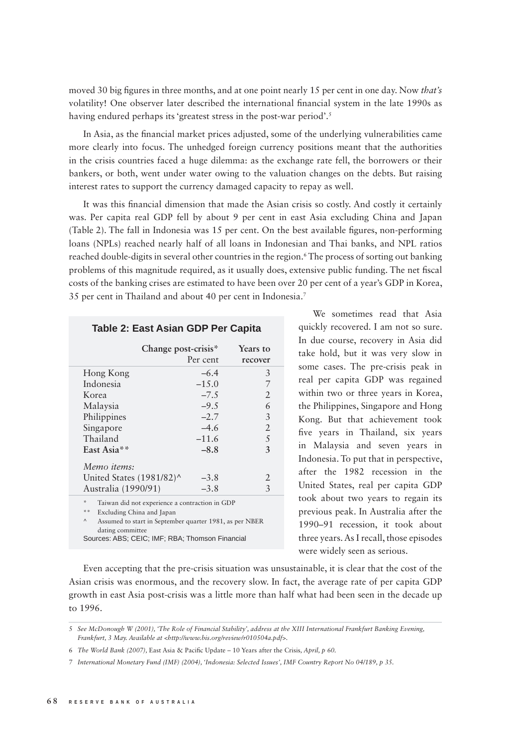moved 30 big figures in three months, and at one point nearly 15 per cent in one day. Now *that's* volatility! One observer later described the international financial system in the late 1990s as having endured perhaps its 'greatest stress in the post-war period'.<sup>5</sup>

In Asia, as the financial market prices adjusted, some of the underlying vulnerabilities came more clearly into focus. The unhedged foreign currency positions meant that the authorities in the crisis countries faced a huge dilemma: as the exchange rate fell, the borrowers or their bankers, or both, went under water owing to the valuation changes on the debts. But raising interest rates to support the currency damaged capacity to repay as well.

It was this financial dimension that made the Asian crisis so costly. And costly it certainly was. Per capita real GDP fell by about 9 per cent in east Asia excluding China and Japan (Table 2). The fall in Indonesia was  $15$  per cent. On the best available figures, non-performing loans (NPLs) reached nearly half of all loans in Indonesian and Thai banks, and NPL ratios reached double-digits in several other countries in the region.6 The process of sorting out banking problems of this magnitude required, as it usually does, extensive public funding. The net fiscal costs of the banking crises are estimated to have been over 20 per cent of a year's GDP in Korea, 35 per cent in Thailand and about 40 per cent in Indonesia.7

### **Table 2: East Asian GDP Per Capita**

|                                    | Change post-crisis*<br>Per cent                 | Years to<br>recover |
|------------------------------------|-------------------------------------------------|---------------------|
| Hong Kong                          | $-6.4$                                          | 3                   |
| Indonesia                          | $-15.0$                                         | 7                   |
| Korea                              | $-7.5$                                          | 2                   |
| Malaysia                           | $-9.5$                                          | 6                   |
| Philippines                        | $-2.7$                                          | 3                   |
| Singapore                          | $-4.6$                                          | 2                   |
| Thailand                           | $-11.6$                                         | 5                   |
| East Asia**                        | $-8.8$                                          | 3                   |
| Memo items:                        |                                                 |                     |
| United States $(1981/82)^{\wedge}$ | $-3.8$                                          | 2                   |
| Australia (1990/91)                | $-3.8$                                          | 3                   |
| st.                                | Trining did not considered a contrastion in CDD |                     |

Taiwan did not experience a contraction in GDI

\*\* Excluding China and Japan

Assumed to start in September quarter 1981, as per NBER dating committee Sources: ABS; CEIC; IMF; RBA; Thomson Financial

We sometimes read that Asia quickly recovered. I am not so sure. In due course, recovery in Asia did take hold, but it was very slow in some cases. The pre-crisis peak in real per capita GDP was regained within two or three years in Korea, the Philippines, Singapore and Hong Kong. But that achievement took five years in Thailand, six years in Malaysia and seven years in Indonesia. To put that in perspective, after the 1982 recession in the United States, real per capita GDP took about two years to regain its previous peak. In Australia after the 1990–91 recession, it took about three years. As I recall, those episodes were widely seen as serious.

Even accepting that the pre-crisis situation was unsustainable, it is clear that the cost of the Asian crisis was enormous, and the recovery slow. In fact, the average rate of per capita GDP growth in east Asia post-crisis was a little more than half what had been seen in the decade up to 1996.

<sup>5</sup> *See McDonough W (2001), 'The Role of Financial Stability', address at the XIII International Frankfurt Banking Evening, Frankfurt, 3 May. Available at <http://www.bis.org/review/r010504a.pdf>.*

<sup>6</sup> *The World Bank (2007),* East Asia & Pacifi c Update – 10 Years after the Crisis*, April, p 60.*

<sup>7</sup> *International Monetary Fund (IMF) (2004), 'Indonesia: Selected Issues', IMF Country Report No 04/189, p 35.*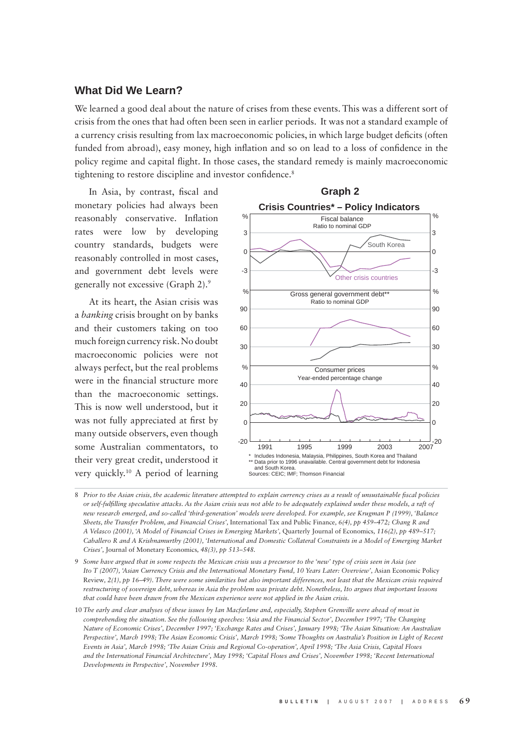## **What Did We Learn?**

We learned a good deal about the nature of crises from these events. This was a different sort of crisis from the ones that had often been seen in earlier periods. It was not a standard example of a currency crisis resulting from lax macroeconomic policies, in which large budget deficits (often funded from abroad), easy money, high inflation and so on lead to a loss of confidence in the policy regime and capital flight. In those cases, the standard remedy is mainly macroeconomic tightening to restore discipline and investor confidence.<sup>8</sup>

In Asia, by contrast, fiscal and monetary policies had always been reasonably conservative. Inflation rates were low by developing country standards, budgets were reasonably controlled in most cases, and government debt levels were generally not excessive (Graph 2).9

At its heart, the Asian crisis was a *banking* crisis brought on by banks and their customers taking on too much foreign currency risk. No doubt macroeconomic policies were not always perfect, but the real problems were in the financial structure more than the macroeconomic settings. This is now well understood, but it was not fully appreciated at first by many outside observers, even though some Australian commentators, to their very great credit, understood it very quickly.10 A period of learning



<sup>8</sup> Prior to the Asian crisis, the academic literature attempted to explain currency crises as a result of unsustainable fiscal policies *or self-fulfi lling speculative attacks. As the Asian crisis was not able to be adequately explained under these models, a raft of new research emerged, and so-called 'third-generation' models were developed. For example, see Krugman P (1999), 'Balance Sheets, the Transfer Problem, and Financial Crises',* International Tax and Public Finance*, 6(4), pp 459–472; Chang R and A Velasco (2001), 'A Model of Financial Crises in Emerging Markets',* Quarterly Journal of Economics*, 116(2), pp 489–517; Caballero R and A Krishnamurthy (2001), 'International and Domestic Collateral Constraints in a Model of Emerging Market Crises',* Journal of Monetary Economics*, 48(3), pp 513–548.*

<sup>9</sup> *Some have argued that in some respects the Mexican crisis was a precursor to the 'new' type of crisis seen in Asia (see Ito T (2007), 'Asian Currency Crisis and the International Monetary Fund, 10 Years Later: Overview', Asian Economic Policy* Review*, 2(1), pp 16–49). There were some similarities but also important differences, not least that the Mexican crisis required restructuring of sovereign debt, whereas in Asia the problem was private debt. Nonetheless, Ito argues that important lessons that could have been drawn from the Mexican experience were not applied in the Asian crisis.* 

<sup>10</sup> *The early and clear analyses of these issues by Ian Macfarlane and, especially, Stephen Grenville were ahead of most in comprehending the situation. See the following speeches: 'Asia and the Financial Sector', December 1997; 'The Changing Nature of Economic Crises', December 1997; 'Exchange Rates and Crises', January 1998; 'The Asian Situation: An Australian Perspective', March 1998; The Asian Economic Crisis', March 1998; 'Some Thoughts on Australia's Position in Light of Recent Events in Asia', March 1998; 'The Asian Crisis and Regional Co-operation', April 1998; 'The Asia Crisis, Capital Flows and the International Financial Architecture', May 1998; 'Capital Flows and Crises', November 1998; 'Recent International Developments in Perspective', November 1998.*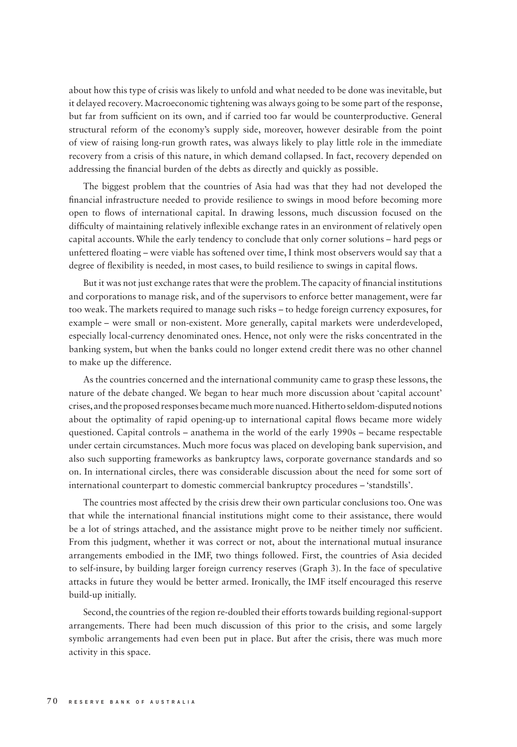about how this type of crisis was likely to unfold and what needed to be done was inevitable, but it delayed recovery. Macroeconomic tightening was always going to be some part of the response, but far from sufficient on its own, and if carried too far would be counterproductive. General structural reform of the economy's supply side, moreover, however desirable from the point of view of raising long-run growth rates, was always likely to play little role in the immediate recovery from a crisis of this nature, in which demand collapsed. In fact, recovery depended on addressing the financial burden of the debts as directly and quickly as possible.

The biggest problem that the countries of Asia had was that they had not developed the financial infrastructure needed to provide resilience to swings in mood before becoming more open to flows of international capital. In drawing lessons, much discussion focused on the difficulty of maintaining relatively inflexible exchange rates in an environment of relatively open capital accounts. While the early tendency to conclude that only corner solutions – hard pegs or unfettered floating – were viable has softened over time, I think most observers would say that a degree of flexibility is needed, in most cases, to build resilience to swings in capital flows.

But it was not just exchange rates that were the problem. The capacity of financial institutions and corporations to manage risk, and of the supervisors to enforce better management, were far too weak. The markets required to manage such risks – to hedge foreign currency exposures, for example – were small or non-existent. More generally, capital markets were underdeveloped, especially local-currency denominated ones. Hence, not only were the risks concentrated in the banking system, but when the banks could no longer extend credit there was no other channel to make up the difference.

As the countries concerned and the international community came to grasp these lessons, the nature of the debate changed. We began to hear much more discussion about 'capital account' crises, and the proposed responses became much more nuanced. Hitherto seldom-disputed notions about the optimality of rapid opening-up to international capital flows became more widely questioned. Capital controls – anathema in the world of the early 1990s – became respectable under certain circumstances. Much more focus was placed on developing bank supervision, and also such supporting frameworks as bankruptcy laws, corporate governance standards and so on. In international circles, there was considerable discussion about the need for some sort of international counterpart to domestic commercial bankruptcy procedures – 'standstills'.

The countries most affected by the crisis drew their own particular conclusions too. One was that while the international financial institutions might come to their assistance, there would be a lot of strings attached, and the assistance might prove to be neither timely nor sufficient. From this judgment, whether it was correct or not, about the international mutual insurance arrangements embodied in the IMF, two things followed. First, the countries of Asia decided to self-insure, by building larger foreign currency reserves (Graph 3). In the face of speculative attacks in future they would be better armed. Ironically, the IMF itself encouraged this reserve build-up initially.

Second, the countries of the region re-doubled their efforts towards building regional-support arrangements. There had been much discussion of this prior to the crisis, and some largely symbolic arrangements had even been put in place. But after the crisis, there was much more activity in this space.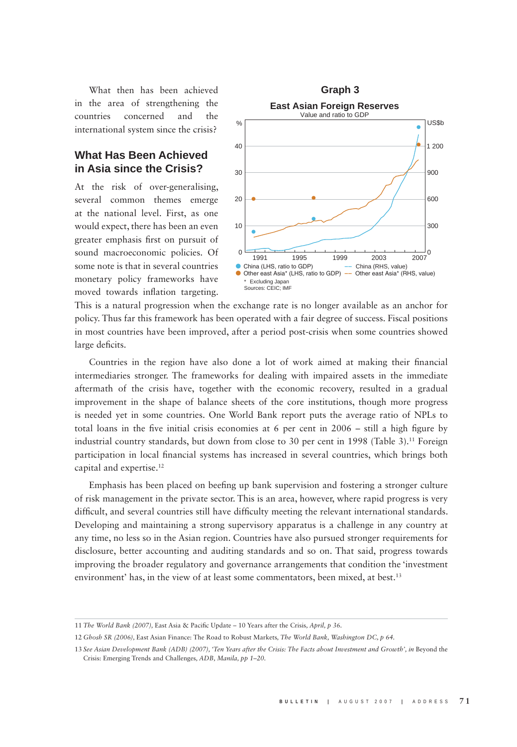What then has been achieved in the area of strengthening the countries concerned and the international system since the crisis?

# **What Has Been Achieved in Asia since the Crisis?**

At the risk of over-generalising, several common themes emerge at the national level. First, as one would expect, there has been an even greater emphasis first on pursuit of sound macroeconomic policies. Of some note is that in several countries monetary policy frameworks have moved towards inflation targeting.



This is a natural progression when the exchange rate is no longer available as an anchor for policy. Thus far this framework has been operated with a fair degree of success. Fiscal positions in most countries have been improved, after a period post-crisis when some countries showed large deficits.

Countries in the region have also done a lot of work aimed at making their financial intermediaries stronger. The frameworks for dealing with impaired assets in the immediate aftermath of the crisis have, together with the economic recovery, resulted in a gradual improvement in the shape of balance sheets of the core institutions, though more progress is needed yet in some countries. One World Bank report puts the average ratio of NPLs to total loans in the five initial crisis economies at 6 per cent in  $2006 - \text{still}$  a high figure by industrial country standards, but down from close to 30 per cent in 1998 (Table 3).<sup>11</sup> Foreign participation in local financial systems has increased in several countries, which brings both capital and expertise.12

Emphasis has been placed on beefing up bank supervision and fostering a stronger culture of risk management in the private sector. This is an area, however, where rapid progress is very difficult, and several countries still have difficulty meeting the relevant international standards. Developing and maintaining a strong supervisory apparatus is a challenge in any country at any time, no less so in the Asian region. Countries have also pursued stronger requirements for disclosure, better accounting and auditing standards and so on. That said, progress towards improving the broader regulatory and governance arrangements that condition the 'investment environment' has, in the view of at least some commentators, been mixed, at best.<sup>13</sup>

<sup>11</sup> The World Bank (2007), East Asia & Pacific Update – 10 Years after the Crisis, April, p 36.

<sup>12</sup> *Ghosh SR (2006),* East Asian Finance: The Road to Robust Markets*, The World Bank, Washington DC, p 64.*

<sup>13</sup> See Asian Development Bank (ADB) (2007), 'Ten Years after the Crisis: The Facts about Investment and Growth', in Beyond the Crisis: Emerging Trends and Challenges*, ADB, Manila, pp 1–20.*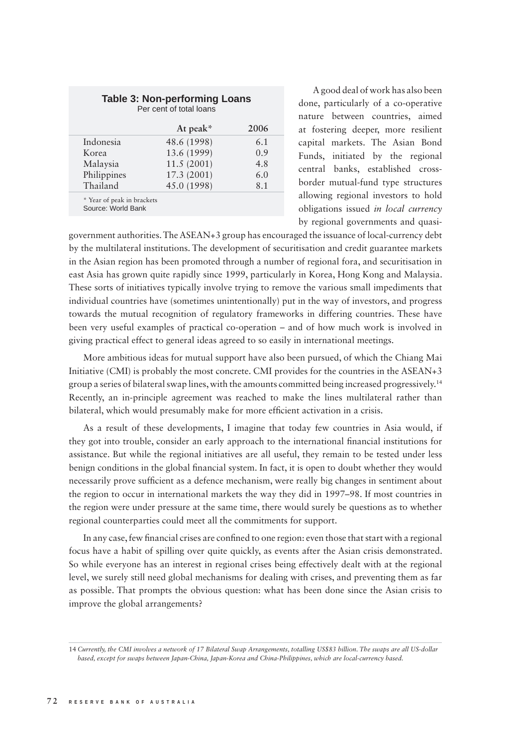|             | At peak $*$ | 2006 |
|-------------|-------------|------|
| Indonesia   | 48.6 (1998) | 6.1  |
| Korea       | 13.6 (1999) | 0.9  |
| Malaysia    | 11.5(2001)  | 4.8  |
| Philippines | 17.3 (2001) | 6.0  |
| Thailand    | 45.0 (1998) | 8.1  |

A good deal of work has also been done, particularly of a co-operative nature between countries, aimed at fostering deeper, more resilient capital markets. The Asian Bond Funds, initiated by the regional central banks, established crossborder mutual-fund type structures allowing regional investors to hold obligations issued *in local currency* by regional governments and quasi-

government authorities. The ASEAN+3 group has encouraged the issuance of local-currency debt by the multilateral institutions. The development of securitisation and credit guarantee markets in the Asian region has been promoted through a number of regional fora, and securitisation in east Asia has grown quite rapidly since 1999, particularly in Korea, Hong Kong and Malaysia. These sorts of initiatives typically involve trying to remove the various small impediments that individual countries have (sometimes unintentionally) put in the way of investors, and progress towards the mutual recognition of regulatory frameworks in differing countries. These have been very useful examples of practical co-operation – and of how much work is involved in giving practical effect to general ideas agreed to so easily in international meetings.

More ambitious ideas for mutual support have also been pursued, of which the Chiang Mai Initiative (CMI) is probably the most concrete. CMI provides for the countries in the ASEAN+3 group a series of bilateral swap lines, with the amounts committed being increased progressively.14 Recently, an in-principle agreement was reached to make the lines multilateral rather than bilateral, which would presumably make for more efficient activation in a crisis.

As a result of these developments, I imagine that today few countries in Asia would, if they got into trouble, consider an early approach to the international financial institutions for assistance. But while the regional initiatives are all useful, they remain to be tested under less benign conditions in the global financial system. In fact, it is open to doubt whether they would necessarily prove sufficient as a defence mechanism, were really big changes in sentiment about the region to occur in international markets the way they did in 1997–98. If most countries in the region were under pressure at the same time, there would surely be questions as to whether regional counterparties could meet all the commitments for support.

In any case, few financial crises are confined to one region: even those that start with a regional focus have a habit of spilling over quite quickly, as events after the Asian crisis demonstrated. So while everyone has an interest in regional crises being effectively dealt with at the regional level, we surely still need global mechanisms for dealing with crises, and preventing them as far as possible. That prompts the obvious question: what has been done since the Asian crisis to improve the global arrangements?

<sup>14</sup> *Currently, the CMI involves a network of 17 Bilateral Swap Arrangements, totalling US\$83 billion. The swaps are all US-dollar based, except for swaps between Japan-China, Japan-Korea and China-Philippines, which are local-currency based.*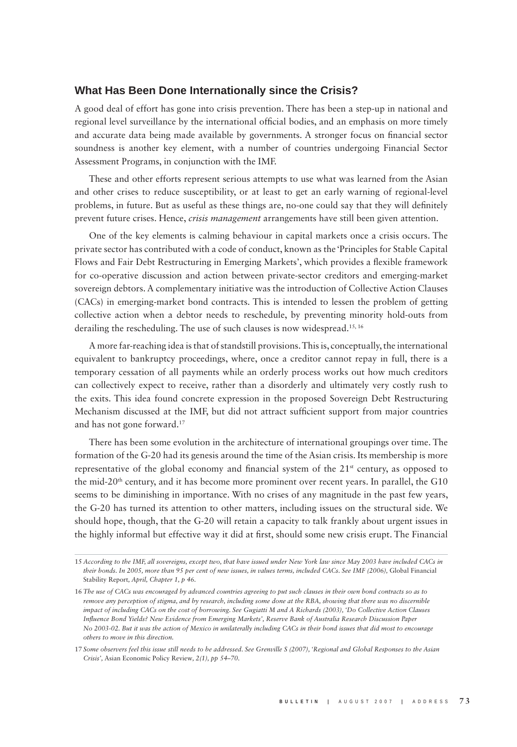#### **What Has Been Done Internationally since the Crisis?**

A good deal of effort has gone into crisis prevention. There has been a step-up in national and regional level surveillance by the international official bodies, and an emphasis on more timely and accurate data being made available by governments. A stronger focus on financial sector soundness is another key element, with a number of countries undergoing Financial Sector Assessment Programs, in conjunction with the IMF.

These and other efforts represent serious attempts to use what was learned from the Asian and other crises to reduce susceptibility, or at least to get an early warning of regional-level problems, in future. But as useful as these things are, no-one could say that they will definitely prevent future crises. Hence, *crisis management* arrangements have still been given attention.

One of the key elements is calming behaviour in capital markets once a crisis occurs. The private sector has contributed with a code of conduct, known as the 'Principles for Stable Capital Flows and Fair Debt Restructuring in Emerging Markets', which provides a flexible framework for co-operative discussion and action between private-sector creditors and emerging-market sovereign debtors. A complementary initiative was the introduction of Collective Action Clauses (CACs) in emerging-market bond contracts. This is intended to lessen the problem of getting collective action when a debtor needs to reschedule, by preventing minority hold-outs from derailing the rescheduling. The use of such clauses is now widespread.<sup>15, 16</sup>

A more far-reaching idea is that of standstill provisions. This is, conceptually, the international equivalent to bankruptcy proceedings, where, once a creditor cannot repay in full, there is a temporary cessation of all payments while an orderly process works out how much creditors can collectively expect to receive, rather than a disorderly and ultimately very costly rush to the exits. This idea found concrete expression in the proposed Sovereign Debt Restructuring Mechanism discussed at the IMF, but did not attract sufficient support from major countries and has not gone forward.17

There has been some evolution in the architecture of international groupings over time. The formation of the G-20 had its genesis around the time of the Asian crisis. Its membership is more representative of the global economy and financial system of the  $21<sup>st</sup>$  century, as opposed to the mid-20<sup>th</sup> century, and it has become more prominent over recent years. In parallel, the G10 seems to be diminishing in importance. With no crises of any magnitude in the past few years, the G-20 has turned its attention to other matters, including issues on the structural side. We should hope, though, that the G-20 will retain a capacity to talk frankly about urgent issues in the highly informal but effective way it did at first, should some new crisis erupt. The Financial

<sup>15</sup> *According to the IMF, all sovereigns, except two, that have issued under New York law since May 2003 have included CACs in their bonds. In 2005, more than 95 per cent of new issues, in values terms, included CACs. See IMF (2006),* Global Financial Stability Report*, April, Chapter 1, p 46.*

<sup>16</sup> *The use of CACs was encouraged by advanced countries agreeing to put such clauses in their own bond contracts so as to remove any perception of stigma, and by research, including some done at the RBA, showing that there was no discernible impact of including CACs on the cost of borrowing. See Gugiatti M and A Richards (2003), 'Do Collective Action Clauses Infl uence Bond Yields? New Evidence from Emerging Markets', Reserve Bank of Australia Research Discussion Paper No 2003-02. But it was the action of Mexico in unilaterally including CACs in their bond issues that did most to encourage others to move in this direction.* 

<sup>17</sup> *Some observers feel this issue still needs to be addressed. See Grenville S (2007), 'Regional and Global Responses to the Asian Crisis',* Asian Economic Policy Review*, 2(1), pp 54–70.*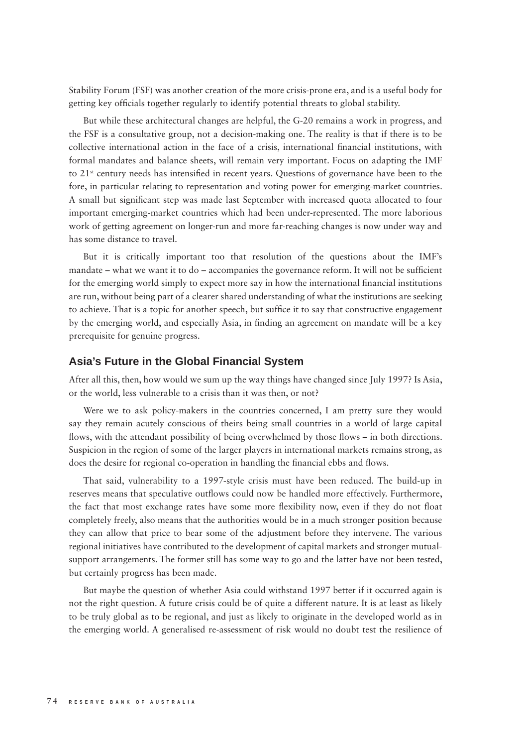Stability Forum (FSF) was another creation of the more crisis-prone era, and is a useful body for getting key officials together regularly to identify potential threats to global stability.

But while these architectural changes are helpful, the G-20 remains a work in progress, and the FSF is a consultative group, not a decision-making one. The reality is that if there is to be collective international action in the face of a crisis, international financial institutions, with formal mandates and balance sheets, will remain very important. Focus on adapting the IMF to  $21^{st}$  century needs has intensified in recent years. Questions of governance have been to the fore, in particular relating to representation and voting power for emerging-market countries. A small but significant step was made last September with increased quota allocated to four important emerging-market countries which had been under-represented. The more laborious work of getting agreement on longer-run and more far-reaching changes is now under way and has some distance to travel.

But it is critically important too that resolution of the questions about the IMF's mandate – what we want it to do – accompanies the governance reform. It will not be sufficient for the emerging world simply to expect more say in how the international financial institutions are run, without being part of a clearer shared understanding of what the institutions are seeking to achieve. That is a topic for another speech, but suffice it to say that constructive engagement by the emerging world, and especially Asia, in finding an agreement on mandate will be a key prerequisite for genuine progress.

#### **Asia's Future in the Global Financial System**

After all this, then, how would we sum up the way things have changed since July 1997? Is Asia, or the world, less vulnerable to a crisis than it was then, or not?

Were we to ask policy-makers in the countries concerned, I am pretty sure they would say they remain acutely conscious of theirs being small countries in a world of large capital flows, with the attendant possibility of being overwhelmed by those flows – in both directions. Suspicion in the region of some of the larger players in international markets remains strong, as does the desire for regional co-operation in handling the financial ebbs and flows.

That said, vulnerability to a 1997-style crisis must have been reduced. The build-up in reserves means that speculative outflows could now be handled more effectively. Furthermore, the fact that most exchange rates have some more flexibility now, even if they do not float completely freely, also means that the authorities would be in a much stronger position because they can allow that price to bear some of the adjustment before they intervene. The various regional initiatives have contributed to the development of capital markets and stronger mutualsupport arrangements. The former still has some way to go and the latter have not been tested, but certainly progress has been made.

But maybe the question of whether Asia could withstand 1997 better if it occurred again is not the right question. A future crisis could be of quite a different nature. It is at least as likely to be truly global as to be regional, and just as likely to originate in the developed world as in the emerging world. A generalised re-assessment of risk would no doubt test the resilience of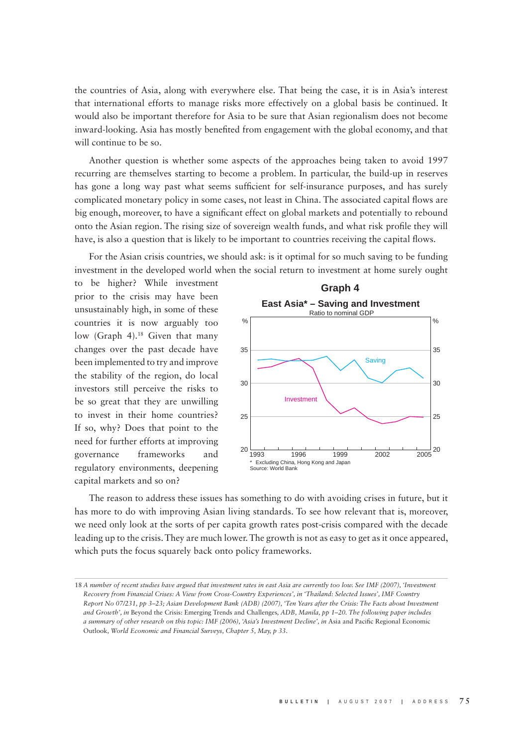the countries of Asia, along with everywhere else. That being the case, it is in Asia's interest that international efforts to manage risks more effectively on a global basis be continued. It would also be important therefore for Asia to be sure that Asian regionalism does not become inward-looking. Asia has mostly benefited from engagement with the global economy, and that will continue to be so.

Another question is whether some aspects of the approaches being taken to avoid 1997 recurring are themselves starting to become a problem. In particular, the build-up in reserves has gone a long way past what seems sufficient for self-insurance purposes, and has surely complicated monetary policy in some cases, not least in China. The associated capital flows are big enough, moreover, to have a significant effect on global markets and potentially to rebound onto the Asian region. The rising size of sovereign wealth funds, and what risk profile they will have, is also a question that is likely to be important to countries receiving the capital flows.

For the Asian crisis countries, we should ask: is it optimal for so much saving to be funding investment in the developed world when the social return to investment at home surely ought

to be higher? While investment prior to the crisis may have been unsustainably high, in some of these countries it is now arguably too low (Graph 4).<sup>18</sup> Given that many changes over the past decade have been implemented to try and improve the stability of the region, do local investors still perceive the risks to be so great that they are unwilling to invest in their home countries? If so, why? Does that point to the need for further efforts at improving governance frameworks and regulatory environments, deepening capital markets and so on?



The reason to address these issues has something to do with avoiding crises in future, but it has more to do with improving Asian living standards. To see how relevant that is, moreover, we need only look at the sorts of per capita growth rates post-crisis compared with the decade leading up to the crisis. They are much lower. The growth is not as easy to get as it once appeared, which puts the focus squarely back onto policy frameworks.

<sup>18</sup> *A number of recent studies have argued that investment rates in east Asia are currently too low. See IMF (2007), 'Investment Recovery from Financial Crises: A View from Cross-Country Experiences', in 'Thailand: Selected Issues', IMF Country Report No 07/231, pp 3–23; Asian Development Bank (ADB) (2007), 'Ten Years after the Crisis: The Facts about Investment and Growth', in* Beyond the Crisis: Emerging Trends and Challenges*, ADB, Manila, pp 1–20. The following paper includes a summary of other research on this topic: IMF (2006), 'Asia's Investment Decline', in Asia and Pacific Regional Economic* Outlook*, World Economic and Financial Surveys, Chapter 5, May, p 33.*